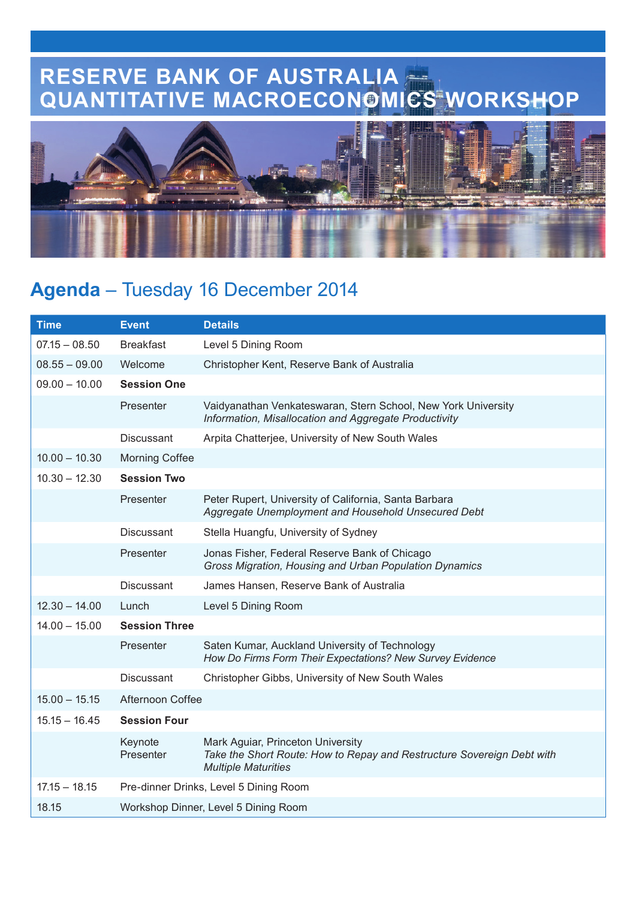## **RESERVE BANK OF AUSTRALIA QUANTITATIVE MACROECONOMICS WORKSHOP**



## **Agenda** – Tuesday 16 December 2014

| <b>Time</b>     | <b>Event</b>                           | <b>Details</b>                                                                                                                            |  |
|-----------------|----------------------------------------|-------------------------------------------------------------------------------------------------------------------------------------------|--|
| $07.15 - 08.50$ | <b>Breakfast</b>                       | Level 5 Dining Room                                                                                                                       |  |
| $08.55 - 09.00$ | Welcome                                | Christopher Kent, Reserve Bank of Australia                                                                                               |  |
| $09.00 - 10.00$ | <b>Session One</b>                     |                                                                                                                                           |  |
|                 | Presenter                              | Vaidyanathan Venkateswaran, Stern School, New York University<br>Information, Misallocation and Aggregate Productivity                    |  |
|                 | <b>Discussant</b>                      | Arpita Chatterjee, University of New South Wales                                                                                          |  |
| $10.00 - 10.30$ | <b>Morning Coffee</b>                  |                                                                                                                                           |  |
| $10.30 - 12.30$ | <b>Session Two</b>                     |                                                                                                                                           |  |
|                 | Presenter                              | Peter Rupert, University of California, Santa Barbara<br>Aggregate Unemployment and Household Unsecured Debt                              |  |
|                 | <b>Discussant</b>                      | Stella Huangfu, University of Sydney                                                                                                      |  |
|                 | Presenter                              | Jonas Fisher, Federal Reserve Bank of Chicago<br>Gross Migration, Housing and Urban Population Dynamics                                   |  |
|                 | <b>Discussant</b>                      | James Hansen, Reserve Bank of Australia                                                                                                   |  |
| $12.30 - 14.00$ | Lunch                                  | Level 5 Dining Room                                                                                                                       |  |
| $14.00 - 15.00$ | <b>Session Three</b>                   |                                                                                                                                           |  |
|                 | Presenter                              | Saten Kumar, Auckland University of Technology<br>How Do Firms Form Their Expectations? New Survey Evidence                               |  |
|                 | <b>Discussant</b>                      | Christopher Gibbs, University of New South Wales                                                                                          |  |
| $15.00 - 15.15$ | Afternoon Coffee                       |                                                                                                                                           |  |
| $15.15 - 16.45$ | <b>Session Four</b>                    |                                                                                                                                           |  |
|                 | Keynote<br>Presenter                   | Mark Aguiar, Princeton University<br>Take the Short Route: How to Repay and Restructure Sovereign Debt with<br><b>Multiple Maturities</b> |  |
| $17.15 - 18.15$ | Pre-dinner Drinks, Level 5 Dining Room |                                                                                                                                           |  |
| 18.15           | Workshop Dinner, Level 5 Dining Room   |                                                                                                                                           |  |